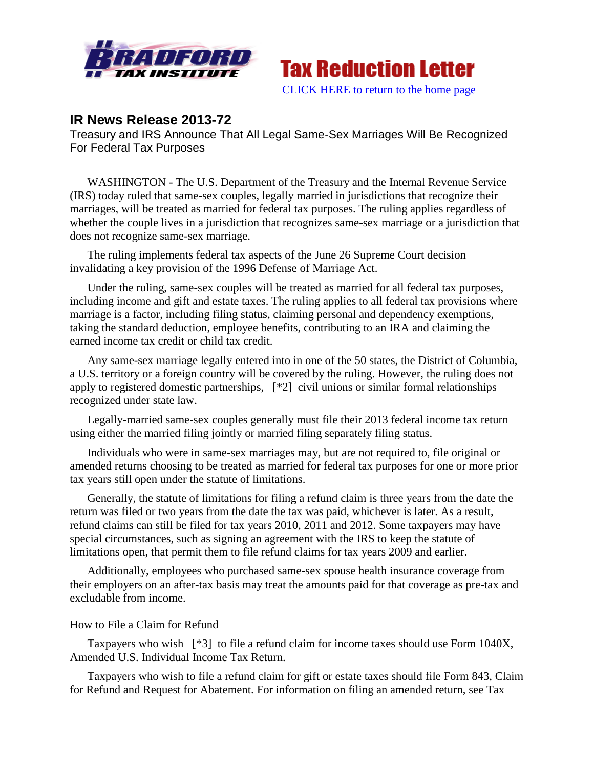



## **IR News Release 2013-72**

Treasury and IRS Announce That All Legal Same-Sex Marriages Will Be Recognized For Federal Tax Purposes

WASHINGTON - The U.S. Department of the Treasury and the Internal Revenue Service (IRS) today ruled that same-sex couples, legally married in jurisdictions that recognize their marriages, will be treated as married for federal tax purposes. The ruling applies regardless of whether the couple lives in a jurisdiction that recognizes same-sex marriage or a jurisdiction that does not recognize same-sex marriage.

The ruling implements federal tax aspects of the June 26 Supreme Court decision invalidating a key provision of the 1996 Defense of Marriage Act.

Under the ruling, same-sex couples will be treated as married for all federal tax purposes, including income and gift and estate taxes. The ruling applies to all federal tax provisions where marriage is a factor, including filing status, claiming personal and dependency exemptions, taking the standard deduction, employee benefits, contributing to an IRA and claiming the earned income tax credit or child tax credit.

Any same-sex marriage legally entered into in one of the 50 states, the District of Columbia, a U.S. territory or a foreign country will be covered by the ruling. However, the ruling does not apply to registered domestic partnerships, [\*2] civil unions or similar formal relationships recognized under state law.

Legally-married same-sex couples generally must file their 2013 federal income tax return using either the married filing jointly or married filing separately filing status.

Individuals who were in same-sex marriages may, but are not required to, file original or amended returns choosing to be treated as married for federal tax purposes for one or more prior tax years still open under the statute of limitations.

Generally, the statute of limitations for filing a refund claim is three years from the date the return was filed or two years from the date the tax was paid, whichever is later. As a result, refund claims can still be filed for tax years 2010, 2011 and 2012. Some taxpayers may have special circumstances, such as signing an agreement with the IRS to keep the statute of limitations open, that permit them to file refund claims for tax years 2009 and earlier.

Additionally, employees who purchased same-sex spouse health insurance coverage from their employers on an after-tax basis may treat the amounts paid for that coverage as pre-tax and excludable from income.

## How to File a Claim for Refund

Taxpayers who wish [\*3] to file a refund claim for income taxes should use Form 1040X, Amended U.S. Individual Income Tax Return.

Taxpayers who wish to file a refund claim for gift or estate taxes should file Form 843, Claim for Refund and Request for Abatement. For information on filing an amended return, see Tax